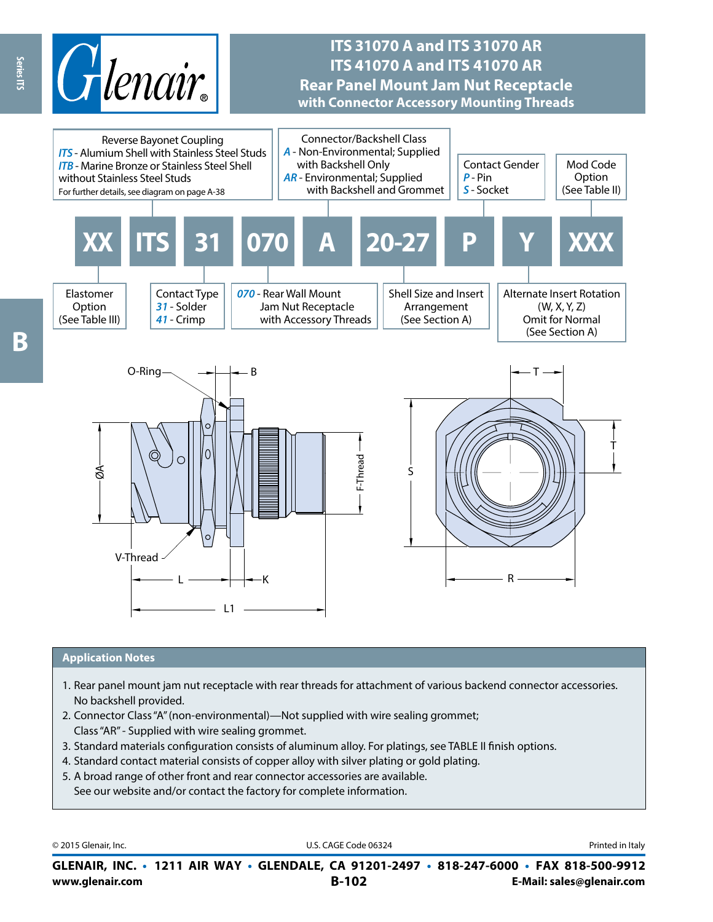

# **ITS 31070 A and ITS 31070 AR ITS 41070 A and ITS 41070 AR Rear Panel Mount Jam Nut Receptacle with Connector Accessory Mounting Threads**



#### **Application Notes**

- 1. Rear panel mount jam nut receptacle with rear threads for attachment of various backend connector accessories. No backshell provided.
- 2. Connector Class "A" (non-environmental)—Not supplied with wire sealing grommet; Class "AR" - Supplied with wire sealing grommet.
- 3. Standard materials configuration consists of aluminum alloy. For platings, see TABLE II finish options.
- 4. Standard contact material consists of copper alloy with silver plating or gold plating.
- 5. A broad range of other front and rear connector accessories are available. See our website and/or contact the factory for complete information.

© 2015 Glenair, Inc. **Discription Construction Construction Construction Construction Construction Construction Construction Construction Construction Construction Construction Construction Construction Construction Constr** 

**www.glenair.com B-102 E-Mail: sales@glenair.com GLENAIR, INC. • 1211 AIR WAY • GLENDALE, CA 91201-2497 • 818-247-6000 • FAX 818-500-9912**